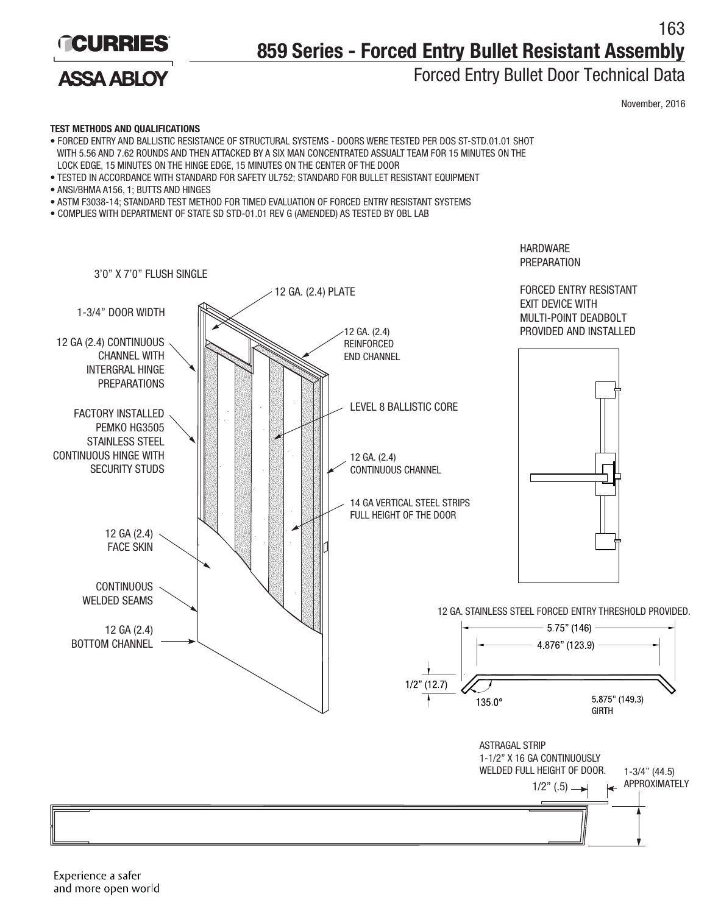

**ASSA ABLOY** 

## 163 **859 Series - Forced Entry Bullet Resistant Assembly**

### Forced Entry Bullet Door Technical Data

**HARDWARE PREPARATION**  November, 2016

#### **TEST METHODS AND QUALIFICATIONS**

- FORCED ENTRY AND BALLISTIC RESISTANCE OF STRUCTURAL SYSTEMS DOORS WERE TESTED PER DOS ST-STD.01.01 SHOT WITH 5.56 AND 7.62 ROUNDS AND THEN ATTACKED BY A SIX MAN CONCENTRATED ASSUALT TEAM FOR 15 MINUTES ON THE LOCK EDGE, 15 MINUTES ON THE HINGE EDGE, 15 MINUTES ON THE CENTER OF THE DOOR
- TESTED IN ACCORDANCE WITH STANDARD FOR SAFETY UL752; STANDARD FOR BULLET RESISTANT EQUIPMENT
- ANSI/BHMA A156, 1; BUTTS AND HINGES
- ASTM F3038-14; STANDARD TEST METHOD FOR TIMED EVALUATION OF FORCED ENTRY RESISTANT SYSTEMS
- COMPLIES WITH DEPARTMENT OF STATE SD STD-01.01 REV G (AMENDED) AS TESTED BY OBL LAB

3'0" X 7'0" FLUSH SINGLE FORCED ENTRY RESISTANT 12 GA. (2.4) PLATE EXIT DEVICE WITH 1-3/4" DOOR WIDTH MULTI-POINT DEADBOLT 12 GA. (2.4) PROVIDED AND INSTALLED 12 GA (2.4) CONTINUOUS REINFORCED CHANNEL WITH END CHANNEL INTERGRAL HINGE PREPARATIONS LEVEL 8 BALLISTIC CORE FACTORY INSTALLED PEMKO HG3505 STAINLESS STEEL CONTINUOUS HINGE WITH 12 GA. (2.4) CONTINUOUS CHANNEL SECURITY STUDS 14 GA VERTICAL STEEL STRIPS FULL HEIGHT OF THE DOOR 12 GA (2.4) FACE SKIN **CONTINUOUS** WELDED SEAMS 12 GA. STAINLESS STEEL FORCED ENTRY THRESHOLD PROVIDED.5.75" (146) 12 GA (2.4) BOTTOM CHANNEL 4.876" (123.9)  $1/2$ " (12.7) 5.875" (149.3) 135.0° **GIRTH** ASTRAGAL STRIP 1-1/2" X 16 GA CONTINUOUSLY WELDED FULL HEIGHT OF DOOR. 1-3/4" (44.5)  $1/2$ " (.5)  $\longrightarrow$  APPROXIMATELY